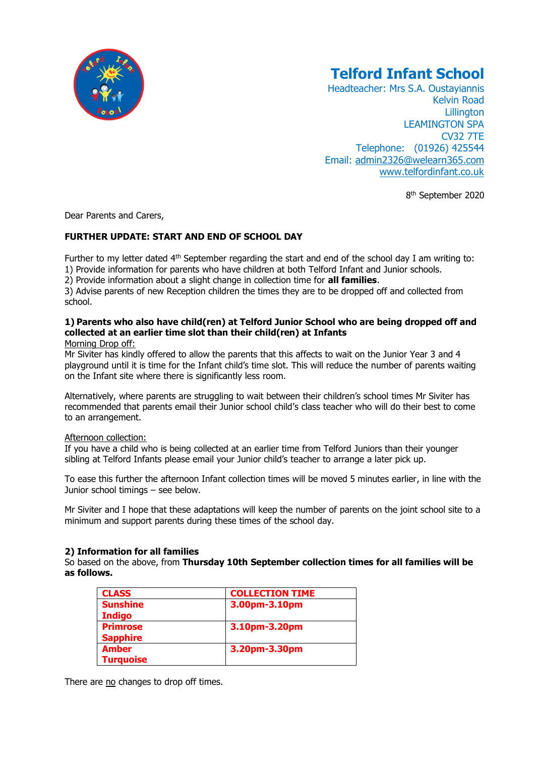

# **Telford Infant School**

Headteacher: Mrs S.A. Oustayiannis Kelvin Road **Lillington** LEAMINGTON SPA CV32 7TE Telephone: (01926) 425544 Email: [admin2326@welearn365.com](mailto:admin2326@welearn365.com) [www.telfordinfant.co.uk](http://www.telfordinfant.co.uk/)

8<sup>th</sup> September 2020

Dear Parents and Carers,

## **FURTHER UPDATE: START AND END OF SCHOOL DAY**

Further to my letter dated 4<sup>th</sup> September regarding the start and end of the school day I am writing to: 1) Provide information for parents who have children at both Telford Infant and Junior schools.

#### 2) Provide information about a slight change in collection time for **all families**.

3) Advise parents of new Reception children the times they are to be dropped off and collected from school.

# **1) Parents who also have child(ren) at Telford Junior School who are being dropped off and collected at an earlier time slot than their child(ren) at Infants**

#### Morning Drop off:

Mr Siviter has kindly offered to allow the parents that this affects to wait on the Junior Year 3 and 4 playground until it is time for the Infant child's time slot. This will reduce the number of parents waiting on the Infant site where there is significantly less room.

Alternatively, where parents are struggling to wait between their children's school times Mr Siviter has recommended that parents email their Junior school child's class teacher who will do their best to come to an arrangement.

## Afternoon collection:

If you have a child who is being collected at an earlier time from Telford Juniors than their younger sibling at Telford Infants please email your Junior child's teacher to arrange a later pick up.

To ease this further the afternoon Infant collection times will be moved 5 minutes earlier, in line with the Junior school timings – see below.

Mr Siviter and I hope that these adaptations will keep the number of parents on the joint school site to a minimum and support parents during these times of the school day.

## **2) Information for all families**

So based on the above, from **Thursday 10th September collection times for all families will be as follows.**

| <b>CLASS</b>     | <b>COLLECTION TIME</b> |
|------------------|------------------------|
| <b>Sunshine</b>  | 3.00pm-3.10pm          |
| <b>Indigo</b>    |                        |
| <b>Primrose</b>  | 3.10pm-3.20pm          |
| <b>Sapphire</b>  |                        |
| <b>Amber</b>     | 3.20pm-3.30pm          |
| <b>Turquoise</b> |                        |

There are no changes to drop off times.